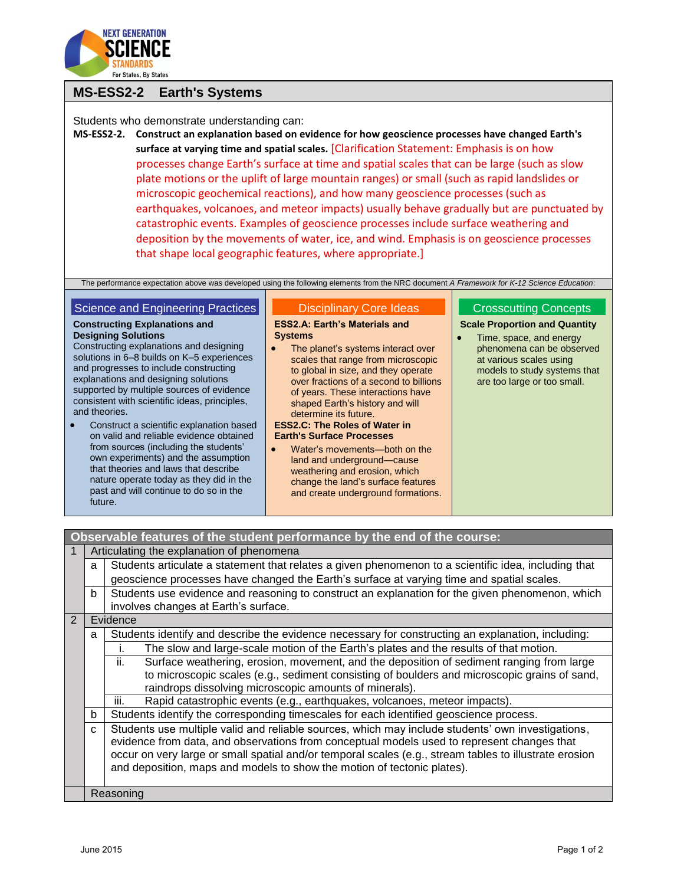

# **MS-ESS2-2 Earth's Systems**

Students who demonstrate understanding can:

**MS-ESS2-2. Construct an explanation based on evidence for how geoscience processes have changed Earth's surface at varying time and spatial scales.** [Clarification Statement: Emphasis is on how processes change Earth's surface at time and spatial scales that can be large (such as slow plate motions or the uplift of large mountain ranges) or small (such as rapid landslides or microscopic geochemical reactions), and how many geoscience processes (such as earthquakes, volcanoes, and meteor impacts) usually behave gradually but are punctuated by catastrophic events. Examples of geoscience processes include surface weathering and deposition by the movements of water, ice, and wind. Emphasis is on geoscience processes that shape local geographic features, where appropriate.]

The performance expectation above was developed using the following elements from the NRC document *A Framework for K-12 Science Education*:

## Science and Engineering Practices

**Constructing Explanations and** 

**Designing Solutions**

#### **ESS2.A: Earth's Materials and Systems**

- Constructing explanations and designing solutions in 6–8 builds on K–5 experiences and progresses to include constructing explanations and designing solutions supported by multiple sources of evidence consistent with scientific ideas, principles, and theories.
- Construct a scientific explanation based on valid and reliable evidence obtained from sources (including the students' own experiments) and the assumption that theories and laws that describe nature operate today as they did in the past and will continue to do so in the future.
- The planet's systems interact over scales that range from microscopic to global in size, and they operate over fractions of a second to billions of years. These interactions have shaped Earth's history and will determine its future.

Disciplinary Core Ideas

#### **ESS2.C: The Roles of Water in Earth's Surface Processes**

 Water's movements—both on the land and underground—cause weathering and erosion, which change the land's surface features and create underground formations.

### Crosscutting Concepts

### **Scale Proportion and Quantity**

• Time, space, and energy phenomena can be observed at various scales using models to study systems that are too large or too small.

## **Observable features of the student performance by the end of the course:**

| $\overline{1}$ | Articulating the explanation of phenomena                                                                 |                                                                                                        |  |  |  |
|----------------|-----------------------------------------------------------------------------------------------------------|--------------------------------------------------------------------------------------------------------|--|--|--|
|                | Students articulate a statement that relates a given phenomenon to a scientific idea, including that<br>a |                                                                                                        |  |  |  |
|                |                                                                                                           | geoscience processes have changed the Earth's surface at varying time and spatial scales.              |  |  |  |
|                | b                                                                                                         | Students use evidence and reasoning to construct an explanation for the given phenomenon, which        |  |  |  |
|                |                                                                                                           | involves changes at Earth's surface.                                                                   |  |  |  |
| 2              |                                                                                                           | Evidence                                                                                               |  |  |  |
|                | a                                                                                                         | Students identify and describe the evidence necessary for constructing an explanation, including:      |  |  |  |
|                |                                                                                                           | The slow and large-scale motion of the Earth's plates and the results of that motion.                  |  |  |  |
|                |                                                                                                           | Surface weathering, erosion, movement, and the deposition of sediment ranging from large<br>ii.        |  |  |  |
|                |                                                                                                           | to microscopic scales (e.g., sediment consisting of boulders and microscopic grains of sand,           |  |  |  |
|                |                                                                                                           | raindrops dissolving microscopic amounts of minerals).                                                 |  |  |  |
|                |                                                                                                           | Rapid catastrophic events (e.g., earthquakes, volcanoes, meteor impacts).<br>Ш.                        |  |  |  |
|                | b                                                                                                         | Students identify the corresponding timescales for each identified geoscience process.                 |  |  |  |
|                | C                                                                                                         | Students use multiple valid and reliable sources, which may include students' own investigations,      |  |  |  |
|                |                                                                                                           | evidence from data, and observations from conceptual models used to represent changes that             |  |  |  |
|                |                                                                                                           | occur on very large or small spatial and/or temporal scales (e.g., stream tables to illustrate erosion |  |  |  |
|                |                                                                                                           | and deposition, maps and models to show the motion of tectonic plates).                                |  |  |  |
|                |                                                                                                           |                                                                                                        |  |  |  |
|                | Reasoning                                                                                                 |                                                                                                        |  |  |  |